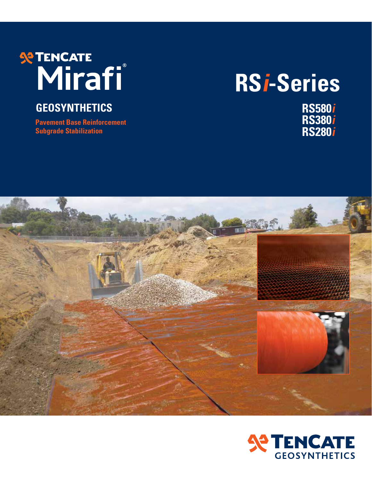# **RENCATE**

### **GEOSYNTHETICS**

**Pavement Base Reinforcement Subgrade Stabilization**

# **RS i-Series**

**RS580 i RS380 i RS280 i**



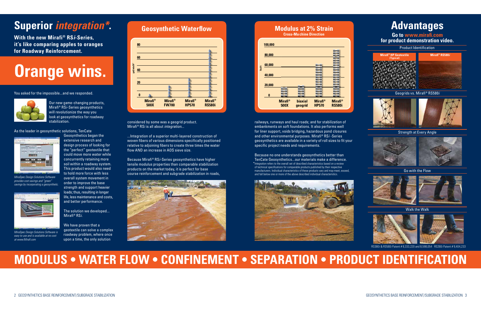## **Superior** *integration\****.**

**With the new Mirafi® RS***i-Series***, it's like comparing apples to oranges for Roadway Reinforcement.**

#### You asked for the impossible...and we responded.



Our new game-changing products, Mirafi® RS*i*-Series geosynthetics will revolutionize the way you look at geosynthetics for roadway stabilization.

As the leader in geosynthetic solutions, TenCate

Geosynthetics began the extensive research and design process of looking for the "perfect" geotextile that could move more water while concurrently retaining more soil within a roadway system. This product would also need to hold more force with less overall system movement in order to improve the base strength and support heavier loads; thus, resulting in longer life, less maintenance and costs, and better performance.

The solution we developed... Mirafi® RS*i*.

We have proven that a geotextile can solve a complex roadway problem, where once upon a time, the only solution

considered by some was a geogrid product. Mirafi® RSi is all about *integration*...

...Integration of a superior multi-layered construction of woven fibers of various dimensions specifically positioned relative to adjoining fibers to create three times the water flow AND an increase in AOS sieve size.

Because Mirafi® RS*i*-Series geosynthetics have higher tensile modulus properties than comparable stabilization products on the market today, it is perfect for base course reinforcement and subgrade stabilization in roads,



# **Orange wins.**

# **MODULUS • WATER FLOW • CONFINEMENT • SEPARATION • PRODUCT IDENTIFICATION**

railways, runways and haul roads; and for stabilization of embankments on soft foundations. It also performs well for liner support, voids bridging, hazardous pond closures and other environmental purposes. Mirafi® RS*i* -Series geosynthetics are available in a variety of roll sizes to fit your specific project needs and requirements.





#### **Modulus at 2% Strain Cross-Machine Direction**



#### Walk the Walk



Go with the Flow







Strength at Every Angle





Geogrids vs. Mirafi® RS580*i*

#### Product Identification

Because no one understands geosynthetics better than TenCate Geosynthetics...our materials make a difference. \* Integration refers to the overall set of described characteristics based on a review of technical specifications for comparable products published by their respective manufacturers. Individual characteristics of these products vary and may meet, exceed, and fall below one or more of the above described individual characteristics.





RS380i & RS580i Patent # 8,333,220 and 8,598,054 RS280i Patent # 9,404,233

**Go to www.mirafi.com for product demonstration video.**

## **Advantages**



*MiraSpec Design Solutions Software provides cost savings and "green" savings by incorporating a geosynthetic.*



*MiraSpec Design Solutions Software is easy to use and is available at no cost at www.Mirafi.com*